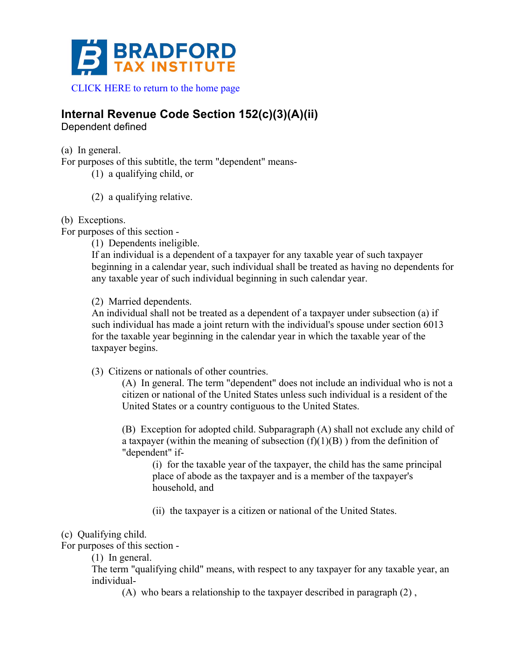

# **Internal Revenue Code Section 152(c)(3)(A)(ii)**

Dependent defined

(a) In general.

For purposes of this subtitle, the term "dependent" means-

(1) a qualifying child, or

(2) a qualifying relative.

### (b) Exceptions.

For purposes of this section -

(1) Dependents ineligible.

If an individual is a dependent of a taxpayer for any taxable year of such taxpayer beginning in a calendar year, such individual shall be treated as having no dependents for any taxable year of such individual beginning in such calendar year.

(2) Married dependents.

An individual shall not be treated as a dependent of a taxpayer under subsection (a) if such individual has made a joint return with the individual's spouse under section 6013 for the taxable year beginning in the calendar year in which the taxable year of the taxpayer begins.

(3) Citizens or nationals of other countries.

(A) In general. The term "dependent" does not include an individual who is not a citizen or national of the United States unless such individual is a resident of the United States or a country contiguous to the United States.

(B) Exception for adopted child. Subparagraph (A) shall not exclude any child of a taxpayer (within the meaning of subsection  $(f)(1)(B)$ ) from the definition of "dependent" if-

(i) for the taxable year of the taxpayer, the child has the same principal place of abode as the taxpayer and is a member of the taxpayer's household, and

(ii) the taxpayer is a citizen or national of the United States.

## (c) Qualifying child.

For purposes of this section -

(1) In general.

The term "qualifying child" means, with respect to any taxpayer for any taxable year, an individual-

(A) who bears a relationship to the taxpayer described in paragraph (2) ,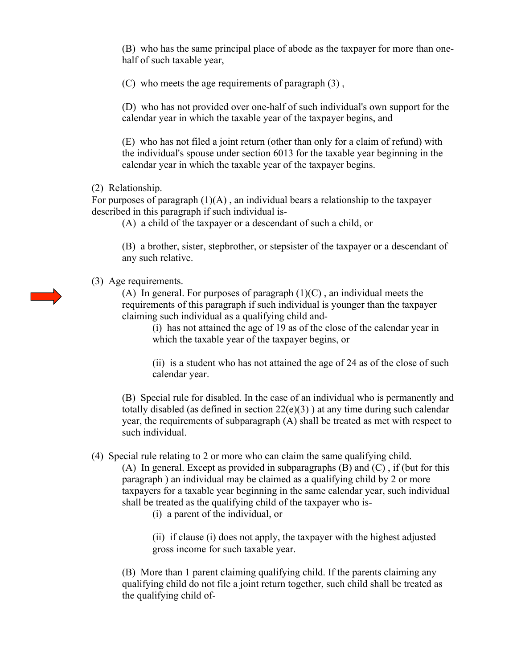(B) who has the same principal place of abode as the taxpayer for more than onehalf of such taxable year,

(C) who meets the age requirements of paragraph (3) ,

(D) who has not provided over one-half of such individual's own support for the calendar year in which the taxable year of the taxpayer begins, and

(E) who has not filed a joint return (other than only for a claim of refund) with the individual's spouse under section 6013 for the taxable year beginning in the calendar year in which the taxable year of the taxpayer begins.

(2) Relationship.

For purposes of paragraph  $(1)(A)$ , an individual bears a relationship to the taxpayer described in this paragraph if such individual is-

(A) a child of the taxpayer or a descendant of such a child, or

(B) a brother, sister, stepbrother, or stepsister of the taxpayer or a descendant of any such relative.

(3) Age requirements.

(A) In general. For purposes of paragraph  $(1)(C)$ , an individual meets the requirements of this paragraph if such individual is younger than the taxpayer claiming such individual as a qualifying child and-

(i) has not attained the age of 19 as of the close of the calendar year in which the taxable year of the taxpayer begins, or

(ii) is a student who has not attained the age of 24 as of the close of such calendar year.

(B) Special rule for disabled. In the case of an individual who is permanently and totally disabled (as defined in section  $22(e)(3)$ ) at any time during such calendar year, the requirements of subparagraph (A) shall be treated as met with respect to such individual.

(4) Special rule relating to 2 or more who can claim the same qualifying child.

(A) In general. Except as provided in subparagraphs (B) and (C) , if (but for this paragraph ) an individual may be claimed as a qualifying child by 2 or more taxpayers for a taxable year beginning in the same calendar year, such individual shall be treated as the qualifying child of the taxpayer who is-

(i) a parent of the individual, or

(ii) if clause (i) does not apply, the taxpayer with the highest adjusted gross income for such taxable year.

(B) More than 1 parent claiming qualifying child. If the parents claiming any qualifying child do not file a joint return together, such child shall be treated as the qualifying child of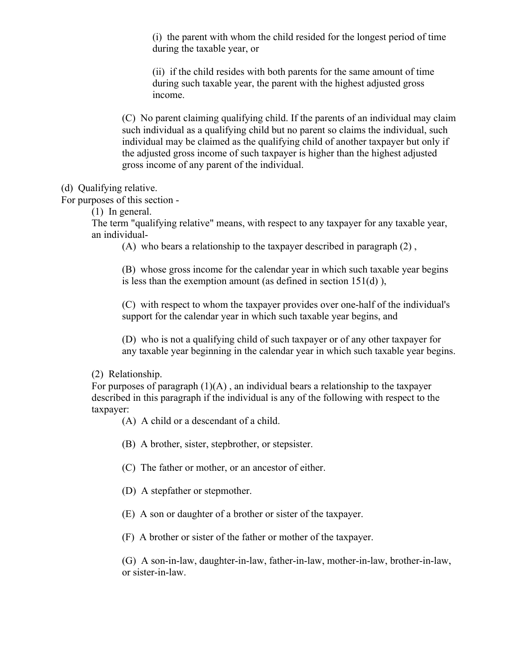(i) the parent with whom the child resided for the longest period of time during the taxable year, or

(ii) if the child resides with both parents for the same amount of time during such taxable year, the parent with the highest adjusted gross income.

(C) No parent claiming qualifying child. If the parents of an individual may claim such individual as a qualifying child but no parent so claims the individual, such individual may be claimed as the qualifying child of another taxpayer but only if the adjusted gross income of such taxpayer is higher than the highest adjusted gross income of any parent of the individual.

(d) Qualifying relative.

For purposes of this section -

(1) In general.

The term "qualifying relative" means, with respect to any taxpayer for any taxable year, an individual-

(A) who bears a relationship to the taxpayer described in paragraph (2) ,

(B) whose gross income for the calendar year in which such taxable year begins is less than the exemption amount (as defined in section  $151(d)$ ),

(C) with respect to whom the taxpayer provides over one-half of the individual's support for the calendar year in which such taxable year begins, and

(D) who is not a qualifying child of such taxpayer or of any other taxpayer for any taxable year beginning in the calendar year in which such taxable year begins.

(2) Relationship.

For purposes of paragraph  $(1)(A)$ , an individual bears a relationship to the taxpayer described in this paragraph if the individual is any of the following with respect to the taxpayer:

(A) A child or a descendant of a child.

(B) A brother, sister, stepbrother, or stepsister.

(C) The father or mother, or an ancestor of either.

(D) A stepfather or stepmother.

(E) A son or daughter of a brother or sister of the taxpayer.

(F) A brother or sister of the father or mother of the taxpayer.

(G) A son-in-law, daughter-in-law, father-in-law, mother-in-law, brother-in-law, or sister-in-law.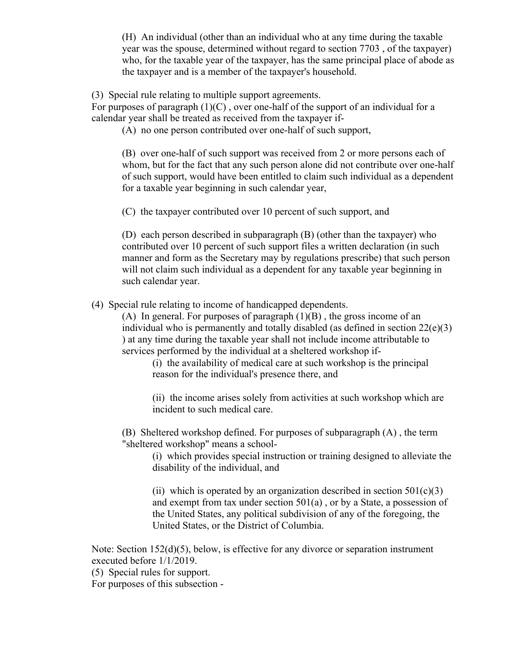(H) An individual (other than an individual who at any time during the taxable year was the spouse, determined without regard to section 7703 , of the taxpayer) who, for the taxable year of the taxpayer, has the same principal place of abode as the taxpayer and is a member of the taxpayer's household.

(3) Special rule relating to multiple support agreements.

For purposes of paragraph  $(1)(C)$ , over one-half of the support of an individual for a calendar year shall be treated as received from the taxpayer if-

(A) no one person contributed over one-half of such support,

(B) over one-half of such support was received from 2 or more persons each of whom, but for the fact that any such person alone did not contribute over one-half of such support, would have been entitled to claim such individual as a dependent for a taxable year beginning in such calendar year,

(C) the taxpayer contributed over 10 percent of such support, and

(D) each person described in subparagraph (B) (other than the taxpayer) who contributed over 10 percent of such support files a written declaration (in such manner and form as the Secretary may by regulations prescribe) that such person will not claim such individual as a dependent for any taxable year beginning in such calendar year.

(4) Special rule relating to income of handicapped dependents.

(A) In general. For purposes of paragraph  $(1)(B)$ , the gross income of an individual who is permanently and totally disabled (as defined in section  $22(e)(3)$ ) ) at any time during the taxable year shall not include income attributable to services performed by the individual at a sheltered workshop if-

(i) the availability of medical care at such workshop is the principal reason for the individual's presence there, and

(ii) the income arises solely from activities at such workshop which are incident to such medical care.

(B) Sheltered workshop defined. For purposes of subparagraph (A) , the term "sheltered workshop" means a school-

(i) which provides special instruction or training designed to alleviate the disability of the individual, and

(ii) which is operated by an organization described in section  $501(c)(3)$ and exempt from tax under section 501(a) , or by a State, a possession of the United States, any political subdivision of any of the foregoing, the United States, or the District of Columbia.

Note: Section 152(d)(5), below, is effective for any divorce or separation instrument executed before 1/1/2019.

(5) Special rules for support.

For purposes of this subsection -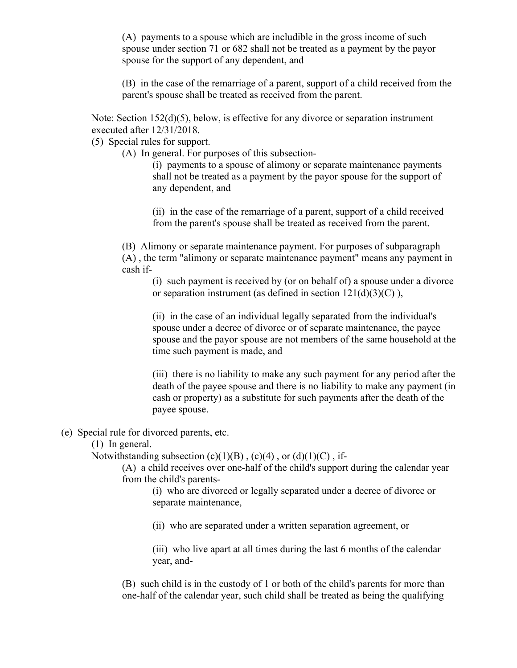(A) payments to a spouse which are includible in the gross income of such spouse under section 71 or 682 shall not be treated as a payment by the payor spouse for the support of any dependent, and

(B) in the case of the remarriage of a parent, support of a child received from the parent's spouse shall be treated as received from the parent.

Note: Section 152(d)(5), below, is effective for any divorce or separation instrument executed after 12/31/2018.

(5) Special rules for support.

(A) In general. For purposes of this subsection-

(i) payments to a spouse of alimony or separate maintenance payments shall not be treated as a payment by the payor spouse for the support of any dependent, and

(ii) in the case of the remarriage of a parent, support of a child received from the parent's spouse shall be treated as received from the parent.

(B) Alimony or separate maintenance payment. For purposes of subparagraph (A) , the term "alimony or separate maintenance payment" means any payment in cash if-

(i) such payment is received by (or on behalf of) a spouse under a divorce or separation instrument (as defined in section  $121(d)(3)(C)$ ),

(ii) in the case of an individual legally separated from the individual's spouse under a decree of divorce or of separate maintenance, the payee spouse and the payor spouse are not members of the same household at the time such payment is made, and

(iii) there is no liability to make any such payment for any period after the death of the payee spouse and there is no liability to make any payment (in cash or property) as a substitute for such payments after the death of the payee spouse.

### (e) Special rule for divorced parents, etc.

(1) In general.

Notwithstanding subsection  $(c)(1)(B)$ ,  $(c)(4)$ , or  $(d)(1)(C)$ , if-

(A) a child receives over one-half of the child's support during the calendar year from the child's parents-

(i) who are divorced or legally separated under a decree of divorce or separate maintenance,

(ii) who are separated under a written separation agreement, or

(iii) who live apart at all times during the last 6 months of the calendar year, and-

(B) such child is in the custody of 1 or both of the child's parents for more than one-half of the calendar year, such child shall be treated as being the qualifying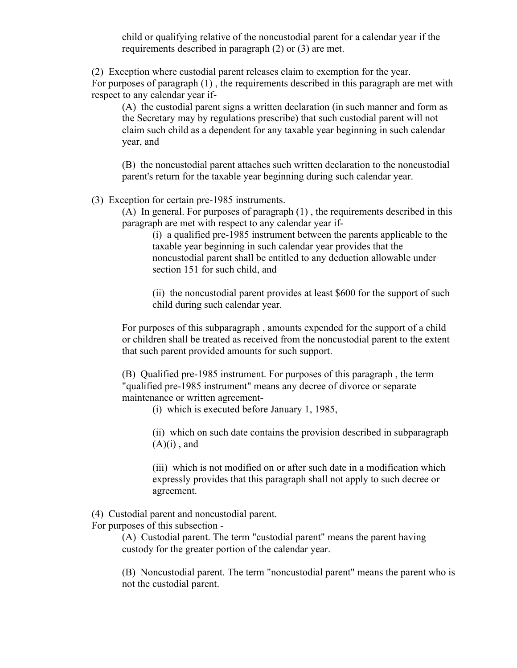child or qualifying relative of the noncustodial parent for a calendar year if the requirements described in paragraph (2) or (3) are met.

(2) Exception where custodial parent releases claim to exemption for the year. For purposes of paragraph (1) , the requirements described in this paragraph are met with respect to any calendar year if-

(A) the custodial parent signs a written declaration (in such manner and form as the Secretary may by regulations prescribe) that such custodial parent will not claim such child as a dependent for any taxable year beginning in such calendar year, and

(B) the noncustodial parent attaches such written declaration to the noncustodial parent's return for the taxable year beginning during such calendar year.

(3) Exception for certain pre-1985 instruments.

(A) In general. For purposes of paragraph (1) , the requirements described in this paragraph are met with respect to any calendar year if-

(i) a qualified pre-1985 instrument between the parents applicable to the taxable year beginning in such calendar year provides that the noncustodial parent shall be entitled to any deduction allowable under section 151 for such child, and

(ii) the noncustodial parent provides at least \$600 for the support of such child during such calendar year.

For purposes of this subparagraph , amounts expended for the support of a child or children shall be treated as received from the noncustodial parent to the extent that such parent provided amounts for such support.

(B) Qualified pre-1985 instrument. For purposes of this paragraph , the term "qualified pre-1985 instrument" means any decree of divorce or separate maintenance or written agreement-

(i) which is executed before January 1, 1985,

(ii) which on such date contains the provision described in subparagraph  $(A)(i)$ , and

(iii) which is not modified on or after such date in a modification which expressly provides that this paragraph shall not apply to such decree or agreement.

(4) Custodial parent and noncustodial parent.

For purposes of this subsection -

(A) Custodial parent. The term "custodial parent" means the parent having custody for the greater portion of the calendar year.

(B) Noncustodial parent. The term "noncustodial parent" means the parent who is not the custodial parent.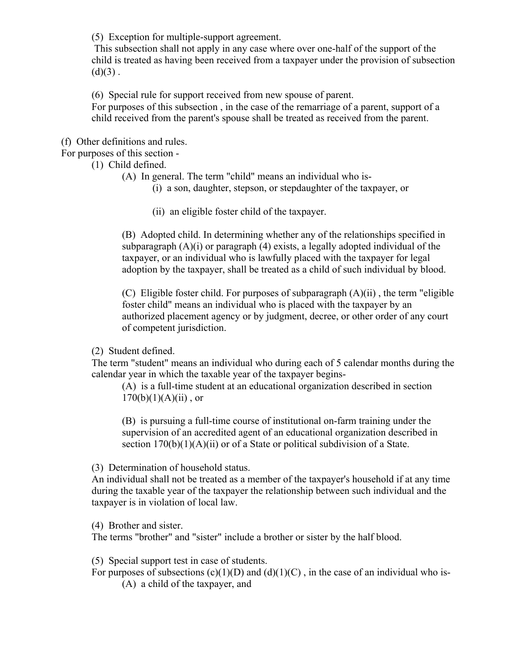(5) Exception for multiple-support agreement.

This subsection shall not apply in any case where over one-half of the support of the child is treated as having been received from a taxpayer under the provision of subsection  $(d)(3)$ .

(6) Special rule for support received from new spouse of parent. For purposes of this subsection , in the case of the remarriage of a parent, support of a child received from the parent's spouse shall be treated as received from the parent.

(f) Other definitions and rules.

For purposes of this section -

- (1) Child defined.
	- (A) In general. The term "child" means an individual who is-
		- (i) a son, daughter, stepson, or stepdaughter of the taxpayer, or
		- (ii) an eligible foster child of the taxpayer.

(B) Adopted child. In determining whether any of the relationships specified in subparagraph  $(A)(i)$  or paragraph  $(4)$  exists, a legally adopted individual of the taxpayer, or an individual who is lawfully placed with the taxpayer for legal adoption by the taxpayer, shall be treated as a child of such individual by blood.

(C) Eligible foster child. For purposes of subparagraph (A)(ii) , the term "eligible foster child" means an individual who is placed with the taxpayer by an authorized placement agency or by judgment, decree, or other order of any court of competent jurisdiction.

(2) Student defined.

The term "student" means an individual who during each of 5 calendar months during the calendar year in which the taxable year of the taxpayer begins-

(A) is a full-time student at an educational organization described in section  $170(b)(1)(A)(ii)$ , or

(B) is pursuing a full-time course of institutional on-farm training under the supervision of an accredited agent of an educational organization described in section  $170(b)(1)(A)(ii)$  or of a State or political subdivision of a State.

(3) Determination of household status.

An individual shall not be treated as a member of the taxpayer's household if at any time during the taxable year of the taxpayer the relationship between such individual and the taxpayer is in violation of local law.

(4) Brother and sister.

The terms "brother" and "sister" include a brother or sister by the half blood.

(5) Special support test in case of students.

For purposes of subsections  $(c)(1)(D)$  and  $(d)(1)(C)$ , in the case of an individual who is-

(A) a child of the taxpayer, and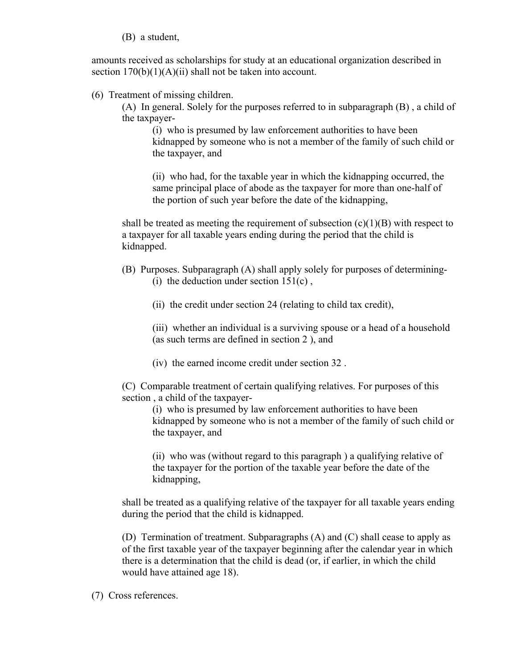(B) a student,

amounts received as scholarships for study at an educational organization described in section  $170(b)(1)(A)(ii)$  shall not be taken into account.

#### (6) Treatment of missing children.

(A) In general. Solely for the purposes referred to in subparagraph (B) , a child of the taxpayer-

(i) who is presumed by law enforcement authorities to have been kidnapped by someone who is not a member of the family of such child or the taxpayer, and

(ii) who had, for the taxable year in which the kidnapping occurred, the same principal place of abode as the taxpayer for more than one-half of the portion of such year before the date of the kidnapping,

shall be treated as meeting the requirement of subsection  $(c)(1)(B)$  with respect to a taxpayer for all taxable years ending during the period that the child is kidnapped.

- (B) Purposes. Subparagraph (A) shall apply solely for purposes of determining- (i) the deduction under section  $151(c)$ ,
	- (ii) the credit under section 24 (relating to child tax credit),

(iii) whether an individual is a surviving spouse or a head of a household (as such terms are defined in section 2 ), and

(iv) the earned income credit under section 32 .

(C) Comparable treatment of certain qualifying relatives. For purposes of this section , a child of the taxpayer-

(i) who is presumed by law enforcement authorities to have been kidnapped by someone who is not a member of the family of such child or the taxpayer, and

(ii) who was (without regard to this paragraph ) a qualifying relative of the taxpayer for the portion of the taxable year before the date of the kidnapping,

shall be treated as a qualifying relative of the taxpayer for all taxable years ending during the period that the child is kidnapped.

(D) Termination of treatment. Subparagraphs (A) and (C) shall cease to apply as of the first taxable year of the taxpayer beginning after the calendar year in which there is a determination that the child is dead (or, if earlier, in which the child would have attained age 18).

(7) Cross references.